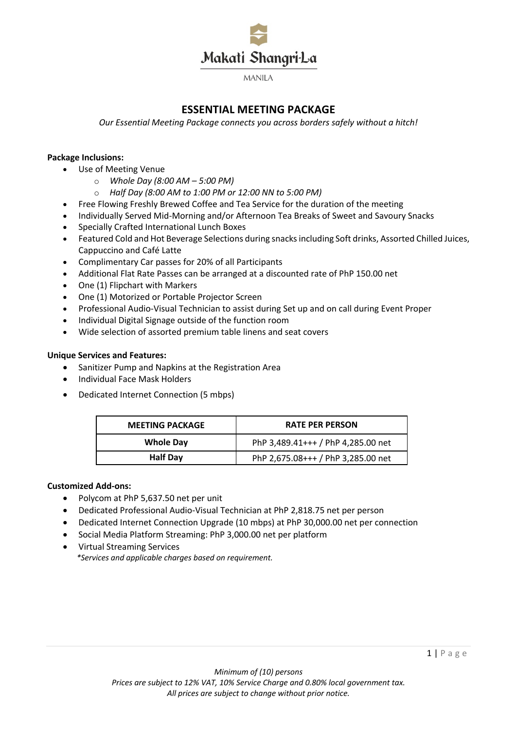

# **ESSENTIAL MEETING PACKAGE**

*Our Essential Meeting Package connects you across borders safely without a hitch!* 

# **Package Inclusions:**

- Use of Meeting Venue
	- o *Whole Day (8:00 AM – 5:00 PM)*
	- o *Half Day (8:00 AM to 1:00 PM or 12:00 NN to 5:00 PM)*
- Free Flowing Freshly Brewed Coffee and Tea Service for the duration of the meeting
- Individually Served Mid-Morning and/or Afternoon Tea Breaks of Sweet and Savoury Snacks
- Specially Crafted International Lunch Boxes
- Featured Cold and Hot Beverage Selections during snacks including Soft drinks, Assorted Chilled Juices, Cappuccino and Café Latte
- Complimentary Car passes for 20% of all Participants
- Additional Flat Rate Passes can be arranged at a discounted rate of PhP 150.00 net
- One (1) Flipchart with Markers
- One (1) Motorized or Portable Projector Screen
- Professional Audio-Visual Technician to assist during Set up and on call during Event Proper
- Individual Digital Signage outside of the function room
- Wide selection of assorted premium table linens and seat covers

# **Unique Services and Features:**

- Sanitizer Pump and Napkins at the Registration Area
- Individual Face Mask Holders
- Dedicated Internet Connection (5 mbps)

| <b>MEETING PACKAGE</b> | <b>RATE PER PERSON</b>             |
|------------------------|------------------------------------|
| <b>Whole Day</b>       | PhP 3,489.41+++ / PhP 4,285.00 net |
| <b>Half Day</b>        | PhP 2,675.08+++ / PhP 3,285.00 net |

# **Customized Add-ons:**

- Polycom at PhP 5,637.50 net per unit
- Dedicated Professional Audio-Visual Technician at PhP 2,818.75 net per person
- Dedicated Internet Connection Upgrade (10 mbps) at PhP 30,000.00 net per connection
- Social Media Platform Streaming: PhP 3,000.00 net per platform
- Virtual Streaming Services  *\*Services and applicable charges based on requirement.*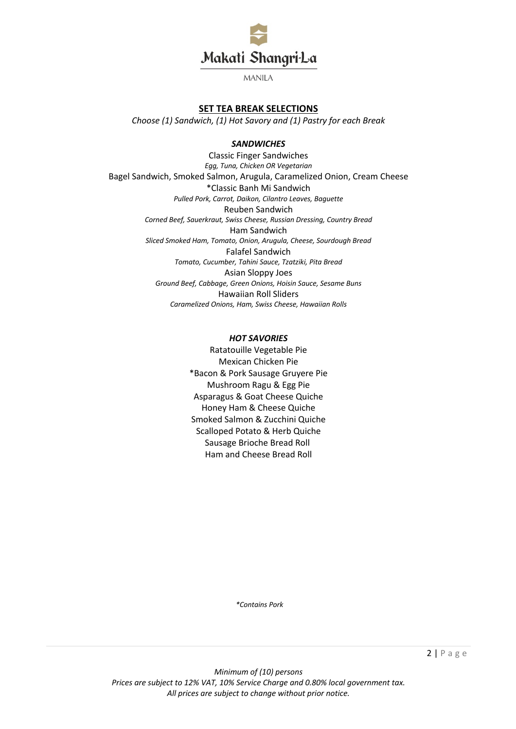

# **SET TEA BREAK SELECTIONS**

*Choose (1) Sandwich, (1) Hot Savory and (1) Pastry for each Break* 

#### *SANDWICHES*

Classic Finger Sandwiches *Egg, Tuna, Chicken OR Vegetarian*  Bagel Sandwich, Smoked Salmon, Arugula, Caramelized Onion, Cream Cheese \*Classic Banh Mi Sandwich *Pulled Pork, Carrot, Daikon, Cilantro Leaves, Baguette*  Reuben Sandwich *Corned Beef, Sauerkraut, Swiss Cheese, Russian Dressing, Country Bread* Ham Sandwich *Sliced Smoked Ham, Tomato, Onion, Arugula, Cheese, Sourdough Bread*  Falafel Sandwich *Tomato, Cucumber, Tahini Sauce, Tzatziki, Pita Bread*  Asian Sloppy Joes *Ground Beef, Cabbage, Green Onions, Hoisin Sauce, Sesame Buns*  Hawaiian Roll Sliders *Caramelized Onions, Ham, Swiss Cheese, Hawaiian Rolls* 

### *HOT SAVORIES*

Ratatouille Vegetable Pie Mexican Chicken Pie \*Bacon & Pork Sausage Gruyere Pie Mushroom Ragu & Egg Pie Asparagus & Goat Cheese Quiche Honey Ham & Cheese Quiche Smoked Salmon & Zucchini Quiche Scalloped Potato & Herb Quiche Sausage Brioche Bread Roll Ham and Cheese Bread Roll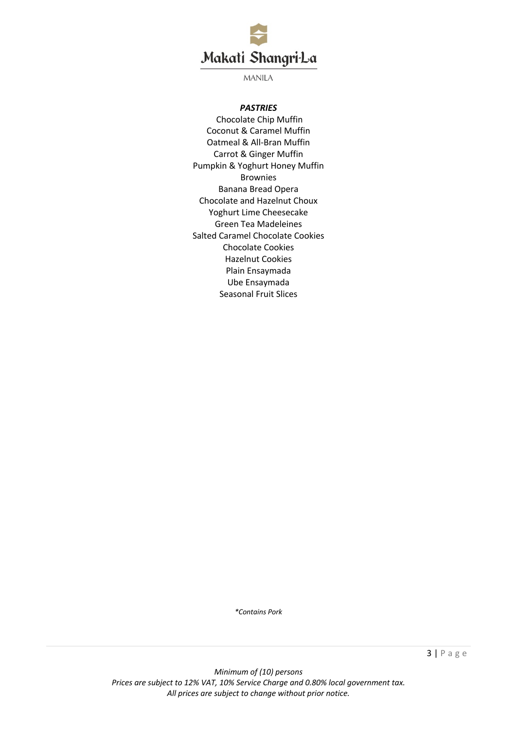

# *PASTRIES*

Chocolate Chip Muffin Coconut & Caramel Muffin Oatmeal & All-Bran Muffin Carrot & Ginger Muffin Pumpkin & Yoghurt Honey Muffin Brownies Banana Bread Opera Chocolate and Hazelnut Choux Yoghurt Lime Cheesecake Green Tea Madeleines Salted Caramel Chocolate Cookies Chocolate Cookies Hazelnut Cookies Plain Ensaymada Ube Ensaymada Seasonal Fruit Slices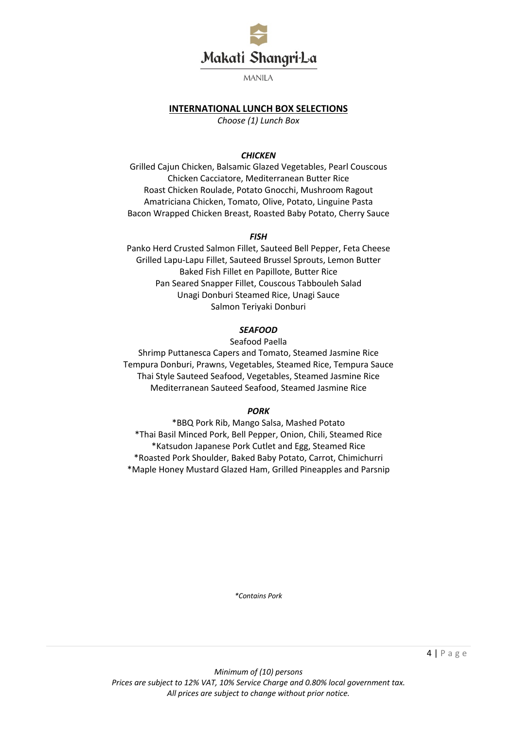

# **INTERNATIONAL LUNCH BOX SELECTIONS**

*Choose (1) Lunch Box* 

### *CHICKEN*

Grilled Cajun Chicken, Balsamic Glazed Vegetables, Pearl Couscous Chicken Cacciatore, Mediterranean Butter Rice Roast Chicken Roulade, Potato Gnocchi, Mushroom Ragout Amatriciana Chicken, Tomato, Olive, Potato, Linguine Pasta Bacon Wrapped Chicken Breast, Roasted Baby Potato, Cherry Sauce

### *FISH*

Panko Herd Crusted Salmon Fillet, Sauteed Bell Pepper, Feta Cheese Grilled Lapu-Lapu Fillet, Sauteed Brussel Sprouts, Lemon Butter Baked Fish Fillet en Papillote, Butter Rice Pan Seared Snapper Fillet, Couscous Tabbouleh Salad Unagi Donburi Steamed Rice, Unagi Sauce Salmon Teriyaki Donburi

# *SEAFOOD*

Seafood Paella

Shrimp Puttanesca Capers and Tomato, Steamed Jasmine Rice Tempura Donburi, Prawns, Vegetables, Steamed Rice, Tempura Sauce Thai Style Sauteed Seafood, Vegetables, Steamed Jasmine Rice Mediterranean Sauteed Seafood, Steamed Jasmine Rice

#### *PORK*

\*BBQ Pork Rib, Mango Salsa, Mashed Potato \*Thai Basil Minced Pork, Bell Pepper, Onion, Chili, Steamed Rice \*Katsudon Japanese Pork Cutlet and Egg, Steamed Rice \*Roasted Pork Shoulder, Baked Baby Potato, Carrot, Chimichurri \*Maple Honey Mustard Glazed Ham, Grilled Pineapples and Parsnip